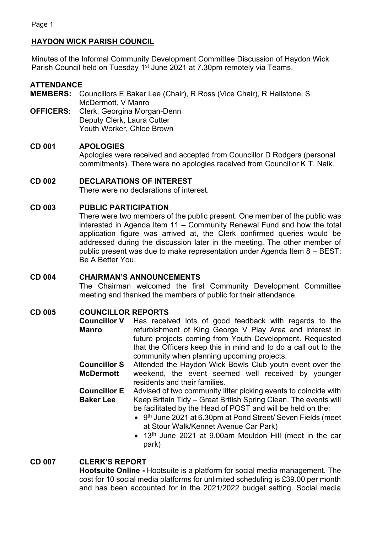# **HAYDON WICK PARISH COUNCIL**

Minutes of the Informal Community Development Committee Discussion of Haydon Wick Parish Council held on Tuesday 1<sup>st</sup> June 2021 at 7.30pm remotely via Teams.

## **ATTENDANCE**

**MEMBERS:** Councillors E Baker Lee (Chair), R Ross (Vice Chair), R Hailstone, S McDermott, V Manro **OFFICERS:** Clerk, Georgina Morgan-Denn

Deputy Clerk, Laura Cutter Youth Worker, Chloe Brown

# **CD 001 APOLOGIES**

Apologies were received and accepted from Councillor D Rodgers (personal commitments). There were no apologies received from Councillor K T. Naik.

# **CD 002 DECLARATIONS OF INTEREST**

There were no declarations of interest.

# **CD 003 PUBLIC PARTICIPATION**

There were two members of the public present. One member of the public was interested in Agenda Item 11 – Community Renewal Fund and how the total application figure was arrived at, the Clerk confirmed queries would be addressed during the discussion later in the meeting. The other member of public present was due to make representation under Agenda Item 8 – BEST: Be A Better You.

# **CD 004 CHAIRMAN'S ANNOUNCEMENTS**

The Chairman welcomed the first Community Development Committee meeting and thanked the members of public for their attendance.

# **CD 005 COUNCILLOR REPORTS**

- **Councillor V**  Has received lots of good feedback with regards to the **Manro** refurbishment of King George V Play Area and interest in future projects coming from Youth Development. Requested that the Officers keep this in mind and to do a call out to the community when planning upcoming projects.
- **Councillor S McDermott** Attended the Haydon Wick Bowls Club youth event over the weekend, the event seemed well received by younger residents and their families.
- **Councillor E Baker Lee** Advised of two community litter picking events to coincide with Keep Britain Tidy – Great British Spring Clean. The events will be facilitated by the Head of POST and will be held on the:
	- 9<sup>th</sup> June 2021 at 6.30pm at Pond Street/ Seven Fields (meet at Stour Walk/Kennet Avenue Car Park)
	- 13<sup>th</sup> June 2021 at 9.00am Mouldon Hill (meet in the car park)

# **CD 007 CLERK'S REPORT**

**Hootsuite Online -** Hootsuite is a platform for social media management. The cost for 10 social media platforms for unlimited scheduling is £39.00 per month and has been accounted for in the 2021/2022 budget setting. Social media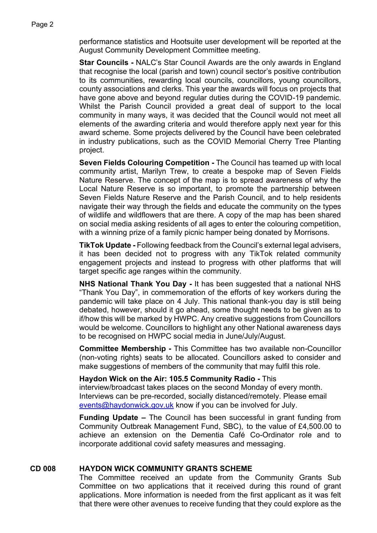performance statistics and Hootsuite user development will be reported at the August Community Development Committee meeting.

**Star Councils -** NALC's Star Council Awards are the only awards in England that recognise the local (parish and town) council sector's positive contribution to its communities, rewarding local councils, councillors, young councillors, county associations and clerks. This year the awards will focus on projects that have gone above and beyond regular duties during the COVID-19 pandemic. Whilst the Parish Council provided a great deal of support to the local community in many ways, it was decided that the Council would not meet all elements of the awarding criteria and would therefore apply next year for this award scheme. Some projects delivered by the Council have been celebrated in industry publications, such as the COVID Memorial Cherry Tree Planting project.

**Seven Fields Colouring Competition -** The Council has teamed up with local community artist, Marilyn Trew, to create a bespoke map of Seven Fields Nature Reserve. The concept of the map is to spread awareness of why the Local Nature Reserve is so important, to promote the partnership between Seven Fields Nature Reserve and the Parish Council, and to help residents navigate their way through the fields and educate the community on the types of wildlife and wildflowers that are there. A copy of the map has been shared on social media asking residents of all ages to enter the colouring competition, with a winning prize of a family picnic hamper being donated by Morrisons.

**TikTok Update -** Following feedback from the Council's external legal advisers, it has been decided not to progress with any TikTok related community engagement projects and instead to progress with other platforms that will target specific age ranges within the community.

**NHS National Thank You Day -** It has been suggested that a national NHS "Thank You Day", in commemoration of the efforts of key workers during the pandemic will take place on 4 July. This national thank-you day is still being debated, however, should it go ahead, some thought needs to be given as to if/how this will be marked by HWPC. Any creative suggestions from Councillors would be welcome. Councillors to highlight any other National awareness days to be recognised on HWPC social media in June/July/August.

**Committee Membership -** This Committee has two available non-Councillor (non-voting rights) seats to be allocated. Councillors asked to consider and make suggestions of members of the community that may fulfil this role.

#### **Haydon Wick on the Air: 105.5 Community Radio -** This

interview/broadcast takes places on the second Monday of every month. Interviews can be pre-recorded, socially distanced/remotely. Please email [events@haydonwick.gov.uk](mailto:events@haydonwick.gov.uk) know if you can be involved for July.

**Funding Update –** The Council has been successful in grant funding from Community Outbreak Management Fund, SBC), to the value of £4,500.00 to achieve an extension on the Dementia Café Co-Ordinator role and to incorporate additional covid safety measures and messaging.

#### **CD 008 HAYDON WICK COMMUNITY GRANTS SCHEME**

The Committee received an update from the Community Grants Sub Committee on two applications that it received during this round of grant applications. More information is needed from the first applicant as it was felt that there were other avenues to receive funding that they could explore as the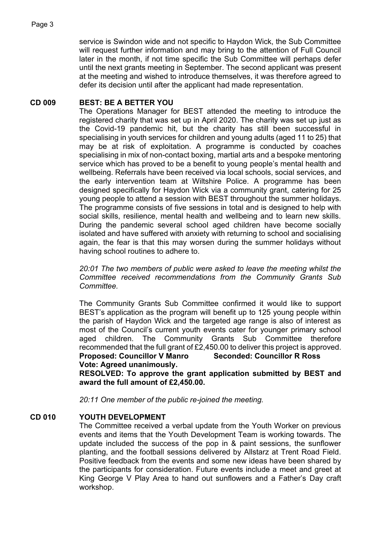service is Swindon wide and not specific to Haydon Wick, the Sub Committee will request further information and may bring to the attention of Full Council later in the month, if not time specific the Sub Committee will perhaps defer until the next grants meeting in September. The second applicant was present at the meeting and wished to introduce themselves, it was therefore agreed to defer its decision until after the applicant had made representation.

## **CD 009 BEST: BE A BETTER YOU**

The Operations Manager for BEST attended the meeting to introduce the registered charity that was set up in April 2020. The charity was set up just as the Covid-19 pandemic hit, but the charity has still been successful in specialising in youth services for children and young adults (aged 11 to 25) that may be at risk of exploitation. A programme is conducted by coaches specialising in mix of non-contact boxing, martial arts and a bespoke mentoring service which has proved to be a benefit to young people's mental health and wellbeing. Referrals have been received via local schools, social services, and the early intervention team at Wiltshire Police. A programme has been designed specifically for Haydon Wick via a community grant, catering for 25 young people to attend a session with BEST throughout the summer holidays. The programme consists of five sessions in total and is designed to help with social skills, resilience, mental health and wellbeing and to learn new skills. During the pandemic several school aged children have become socially isolated and have suffered with anxiety with returning to school and socialising again, the fear is that this may worsen during the summer holidays without having school routines to adhere to.

*20:01 The two members of public were asked to leave the meeting whilst the Committee received recommendations from the Community Grants Sub Committee.* 

The Community Grants Sub Committee confirmed it would like to support BEST's application as the program will benefit up to 125 young people within the parish of Haydon Wick and the targeted age range is also of interest as most of the Council's current youth events cater for younger primary school aged children. The Community Grants Sub Committee therefore recommended that the full grant of £2,450.00 to deliver this project is approved. **Proposed: Councillor V Manro Seconded: Councillor R Ross**

**Vote: Agreed unanimously.**

**RESOLVED: To approve the grant application submitted by BEST and award the full amount of £2,450.00.**

*20:11 One member of the public re-joined the meeting.*

#### **CD 010 YOUTH DEVELOPMENT**

The Committee received a verbal update from the Youth Worker on previous events and items that the Youth Development Team is working towards. The update included the success of the pop in & paint sessions, the sunflower planting, and the football sessions delivered by Allstarz at Trent Road Field. Positive feedback from the events and some new ideas have been shared by the participants for consideration. Future events include a meet and greet at King George V Play Area to hand out sunflowers and a Father's Day craft workshop.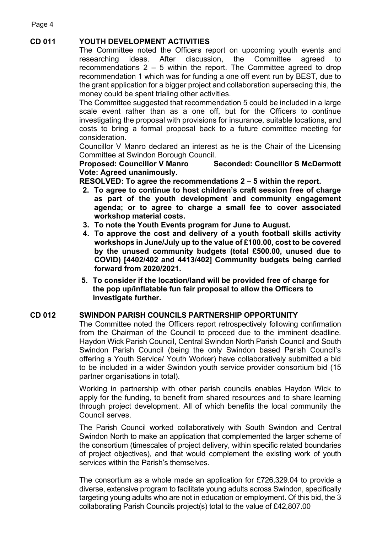# **CD 011 YOUTH DEVELOPMENT ACTIVITIES**

The Committee noted the Officers report on upcoming youth events and researching ideas. After discussion, the Committee agreed to recommendations 2 – 5 within the report. The Committee agreed to drop recommendation 1 which was for funding a one off event run by BEST, due to the grant application for a bigger project and collaboration superseding this, the money could be spent trialing other activities.

The Committee suggested that recommendation 5 could be included in a large scale event rather than as a one off, but for the Officers to continue investigating the proposal with provisions for insurance, suitable locations, and costs to bring a formal proposal back to a future committee meeting for consideration.

Councillor V Manro declared an interest as he is the Chair of the Licensing Committee at Swindon Borough Council.

**Proposed: Councillor V Manro Seconded: Councillor S McDermott Vote: Agreed unanimously.**

**RESOLVED: To agree the recommendations 2 – 5 within the report.**

- **2. To agree to continue to host children's craft session free of charge as part of the youth development and community engagement agenda; or to agree to charge a small fee to cover associated workshop material costs.**
- **3. To note the Youth Events program for June to August.**
- **4. To approve the cost and delivery of a youth football skills activity workshops in June/July up to the value of £100.00, cost to be covered by the unused community budgets (total £500.00, unused due to COVID) [4402/402 and 4413/402] Community budgets being carried forward from 2020/2021.**
- **5. To consider if the location/land will be provided free of charge for the pop up/inflatable fun fair proposal to allow the Officers to investigate further.**

#### **CD 012 SWINDON PARISH COUNCILS PARTNERSHIP OPPORTUNITY**

The Committee noted the Officers report retrospectively following confirmation from the Chairman of the Council to proceed due to the imminent deadline. Haydon Wick Parish Council, Central Swindon North Parish Council and South Swindon Parish Council (being the only Swindon based Parish Council's offering a Youth Service/ Youth Worker) have collaboratively submitted a bid to be included in a wider Swindon youth service provider consortium bid (15 partner organisations in total).

Working in partnership with other parish councils enables Haydon Wick to apply for the funding, to benefit from shared resources and to share learning through project development. All of which benefits the local community the Council serves.

The Parish Council worked collaboratively with South Swindon and Central Swindon North to make an application that complemented the larger scheme of the consortium (timescales of project delivery, within specific related boundaries of project objectives), and that would complement the existing work of youth services within the Parish's themselves.

The consortium as a whole made an application for £726,329.04 to provide a diverse, extensive program to facilitate young adults across Swindon, specifically targeting young adults who are not in education or employment. Of this bid, the 3 collaborating Parish Councils project(s) total to the value of £42,807.00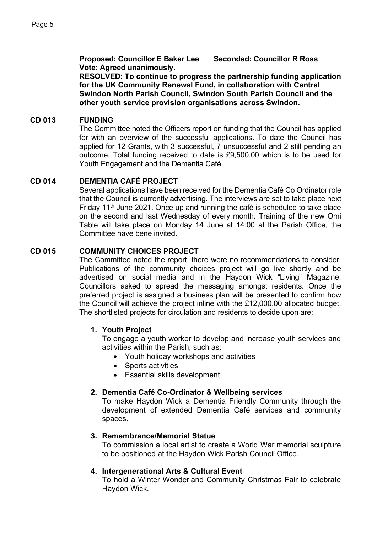**Proposed: Councillor E Baker Lee Seconded: Councillor R Ross Vote: Agreed unanimously.**

**RESOLVED: To continue to progress the partnership funding application for the UK Community Renewal Fund, in collaboration with Central Swindon North Parish Council, Swindon South Parish Council and the other youth service provision organisations across Swindon.** 

## **CD 013 FUNDING**

The Committee noted the Officers report on funding that the Council has applied for with an overview of the successful applications. To date the Council has applied for 12 Grants, with 3 successful, 7 unsuccessful and 2 still pending an outcome. Total funding received to date is £9,500.00 which is to be used for Youth Engagement and the Dementia Café.

## **CD 014 DEMENTIA CAFÉ PROJECT**

Several applications have been received for the Dementia Café Co Ordinator role that the Council is currently advertising. The interviews are set to take place next Friday  $11<sup>th</sup>$  June 2021. Once up and running the café is scheduled to take place on the second and last Wednesday of every month. Training of the new Omi Table will take place on Monday 14 June at 14:00 at the Parish Office, the Committee have bene invited.

## **CD 015 COMMUNITY CHOICES PROJECT**

The Committee noted the report, there were no recommendations to consider. Publications of the community choices project will go live shortly and be advertised on social media and in the Haydon Wick "Living" Magazine. Councillors asked to spread the messaging amongst residents. Once the preferred project is assigned a business plan will be presented to confirm how the Council will achieve the project inline with the £12,000.00 allocated budget. The shortlisted projects for circulation and residents to decide upon are:

#### **1. Youth Project**

To engage a youth worker to develop and increase youth services and activities within the Parish, such as:

- Youth holiday workshops and activities
- Sports activities
- Essential skills development

#### **2. Dementia Café Co-Ordinator & Wellbeing services**

To make Haydon Wick a Dementia Friendly Community through the development of extended Dementia Café services and community spaces.

## **3. Remembrance/Memorial Statue**

To commission a local artist to create a World War memorial sculpture to be positioned at the Haydon Wick Parish Council Office.

# **4. Intergenerational Arts & Cultural Event**

To hold a Winter Wonderland Community Christmas Fair to celebrate Haydon Wick.